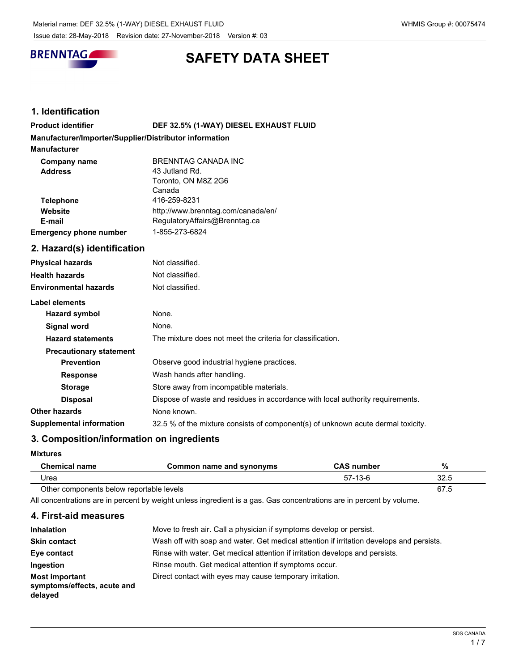

# **SAFETY DATA SHEET**

# **1. Identification**

| <b>Product identifier</b>                              | DEF 32.5% (1-WAY) DIESEL EXHAUST FLUID |
|--------------------------------------------------------|----------------------------------------|
| Manufacturer/Importer/Supplier/Distributor information |                                        |
| <b>Manufacturer</b>                                    |                                        |
| <b>Company name</b>                                    | BRENNTAG CANADA INC                    |
| <b>Address</b>                                         | 43 Jutland Rd.                         |
|                                                        | Toronto, ON M8Z 2G6                    |
|                                                        | Canada                                 |
| <b>Telephone</b>                                       | 416-259-8231                           |
| Website                                                | http://www.brenntag.com/canada/en/     |
| E-mail                                                 | RegulatoryAffairs@Brenntag.ca          |
| <b>Emergency phone number</b>                          | 1-855-273-6824                         |

# **2. Hazard(s) identification**

| <b>Physical hazards</b>         | Not classified.                                                                  |
|---------------------------------|----------------------------------------------------------------------------------|
| <b>Health hazards</b>           | Not classified.                                                                  |
| <b>Environmental hazards</b>    | Not classified.                                                                  |
| Label elements                  |                                                                                  |
| Hazard symbol                   | None.                                                                            |
| Signal word                     | None.                                                                            |
| <b>Hazard statements</b>        | The mixture does not meet the criteria for classification.                       |
| <b>Precautionary statement</b>  |                                                                                  |
| <b>Prevention</b>               | Observe good industrial hygiene practices.                                       |
| <b>Response</b>                 | Wash hands after handling.                                                       |
| <b>Storage</b>                  | Store away from incompatible materials.                                          |
| <b>Disposal</b>                 | Dispose of waste and residues in accordance with local authority requirements.   |
| <b>Other hazards</b>            | None known.                                                                      |
| <b>Supplemental information</b> | 32.5 % of the mixture consists of component(s) of unknown acute dermal toxicity. |

# **3. Composition/information on ingredients**

**Mixtures**

| Chemical name                            | Common name and synonyms | <b>CAS number</b> | %    |
|------------------------------------------|--------------------------|-------------------|------|
| Urea                                     |                          | 57-13-6           | 32.5 |
| Other components below reportable levels |                          |                   | 67.5 |

All concentrations are in percent by weight unless ingredient is a gas. Gas concentrations are in percent by volume.

# **4. First-aid measures**

| <b>Inhalation</b>                                               | Move to fresh air. Call a physician if symptoms develop or persist.                      |
|-----------------------------------------------------------------|------------------------------------------------------------------------------------------|
| <b>Skin contact</b>                                             | Wash off with soap and water. Get medical attention if irritation develops and persists. |
| Eye contact                                                     | Rinse with water. Get medical attention if irritation develops and persists.             |
| Ingestion                                                       | Rinse mouth. Get medical attention if symptoms occur.                                    |
| <b>Most important</b><br>symptoms/effects, acute and<br>delayed | Direct contact with eyes may cause temporary irritation.                                 |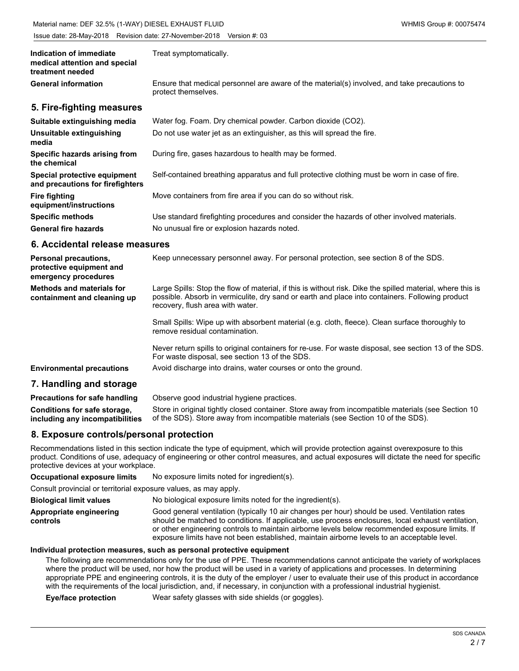| Indication of immediate<br>medical attention and special<br>treatment needed | Treat symptomatically.                                                                                              |
|------------------------------------------------------------------------------|---------------------------------------------------------------------------------------------------------------------|
| <b>General information</b>                                                   | Ensure that medical personnel are aware of the material(s) involved, and take precautions to<br>protect themselves. |
| 5. Fire-fighting measures                                                    |                                                                                                                     |
| Suitable extinguishing media                                                 | Water fog. Foam. Dry chemical powder. Carbon dioxide (CO2).                                                         |
| Unsuitable extinguishing<br>media                                            | Do not use water jet as an extinguisher, as this will spread the fire.                                              |
| Specific hazards arising from<br>the chemical                                | During fire, gases hazardous to health may be formed.                                                               |
| Special protective equipment<br>and precautions for firefighters             | Self-contained breathing apparatus and full protective clothing must be worn in case of fire.                       |
| <b>Fire fighting</b><br>equipment/instructions                               | Move containers from fire area if you can do so without risk.                                                       |
| <b>Specific methods</b>                                                      | Use standard firefighting procedures and consider the hazards of other involved materials.                          |
| <b>General fire hazards</b>                                                  | No unusual fire or explosion hazards noted.                                                                         |
| 6. Accidental release measures                                               |                                                                                                                     |

| <b>Personal precautions,</b><br>protective equipment and<br>emergency procedures | Keep unnecessary personnel away. For personal protection, see section 8 of the SDS.                                                                                                                                                               |
|----------------------------------------------------------------------------------|---------------------------------------------------------------------------------------------------------------------------------------------------------------------------------------------------------------------------------------------------|
| <b>Methods and materials for</b><br>containment and cleaning up                  | Large Spills: Stop the flow of material, if this is without risk. Dike the spilled material, where this is<br>possible. Absorb in vermiculite, dry sand or earth and place into containers. Following product<br>recovery, flush area with water. |
|                                                                                  | Small Spills: Wipe up with absorbent material (e.g. cloth, fleece). Clean surface thoroughly to<br>remove residual contamination.                                                                                                                 |
|                                                                                  | Never return spills to original containers for re-use. For waste disposal, see section 13 of the SDS.<br>For waste disposal, see section 13 of the SDS.                                                                                           |
| <b>Environmental precautions</b>                                                 | Avoid discharge into drains, water courses or onto the ground.                                                                                                                                                                                    |
| 7. Handling and storage                                                          |                                                                                                                                                                                                                                                   |
| Dreacutiona for oofs bondling                                                    | Obecnic good industrial bugiano prostigge                                                                                                                                                                                                         |

| <b>Precautions for safe handling</b> | Observe good industrial hygiene practices.                                                         |
|--------------------------------------|----------------------------------------------------------------------------------------------------|
| Conditions for safe storage,         | Store in original tightly closed container. Store away from incompatible materials (see Section 10 |
| including any incompatibilities      | of the SDS). Store away from incompatible materials (see Section 10 of the SDS).                   |

# **8. Exposure controls/personal protection**

Recommendations listed in this section indicate the type of equipment, which will provide protection against overexposure to this product. Conditions of use, adequacy of engineering or other control measures, and actual exposures will dictate the need for specific protective devices at your workplace.

| <b>Occupational exposure limits</b>                              | No exposure limits noted for ingredient(s).                                                                                                                                                                                                                                                                                                                                                            |
|------------------------------------------------------------------|--------------------------------------------------------------------------------------------------------------------------------------------------------------------------------------------------------------------------------------------------------------------------------------------------------------------------------------------------------------------------------------------------------|
| Consult provincial or territorial exposure values, as may apply. |                                                                                                                                                                                                                                                                                                                                                                                                        |
| <b>Biological limit values</b>                                   | No biological exposure limits noted for the ingredient(s).                                                                                                                                                                                                                                                                                                                                             |
| Appropriate engineering<br>controls                              | Good general ventilation (typically 10 air changes per hour) should be used. Ventilation rates<br>should be matched to conditions. If applicable, use process enclosures, local exhaust ventilation,<br>or other engineering controls to maintain airborne levels below recommended exposure limits. If<br>exposure limits have not been established, maintain airborne levels to an acceptable level. |

# **Individual protection measures, such as personal protective equipment**

The following are recommendations only for the use of PPE. These recommendations cannot anticipate the variety of workplaces where the product will be used, nor how the product will be used in a variety of applications and processes. In determining appropriate PPE and engineering controls, it is the duty of the employer / user to evaluate their use of this product in accordance with the requirements of the local jurisdiction, and, if necessary, in conjunction with a professional industrial hygienist.

**Eye/face protection** Wear safety glasses with side shields (or goggles).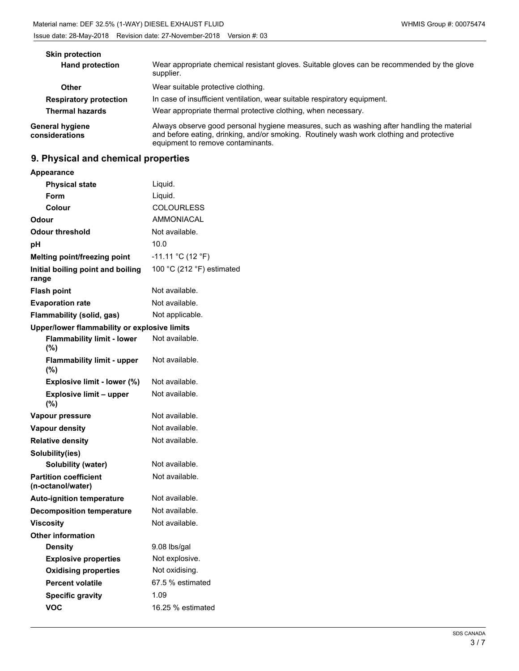| <b>Skin protection</b>                   |                                                                                                                                                                                                                             |
|------------------------------------------|-----------------------------------------------------------------------------------------------------------------------------------------------------------------------------------------------------------------------------|
| <b>Hand protection</b>                   | Wear appropriate chemical resistant gloves. Suitable gloves can be recommended by the glove<br>supplier.                                                                                                                    |
| Other                                    | Wear suitable protective clothing.                                                                                                                                                                                          |
| <b>Respiratory protection</b>            | In case of insufficient ventilation, wear suitable respiratory equipment.                                                                                                                                                   |
| <b>Thermal hazards</b>                   | Wear appropriate thermal protective clothing, when necessary.                                                                                                                                                               |
| <b>General hygiene</b><br>considerations | Always observe good personal hygiene measures, such as washing after handling the material<br>and before eating, drinking, and/or smoking. Routinely wash work clothing and protective<br>equipment to remove contaminants. |

# **9. Physical and chemical properties**

| <b>Appearance</b>                                 |                           |
|---------------------------------------------------|---------------------------|
| <b>Physical state</b>                             | Liquid.                   |
| Form                                              | Liquid.                   |
| Colour                                            | <b>COLOURLESS</b>         |
| Odour                                             | <b>AMMONIACAL</b>         |
| Odour threshold                                   | Not available.            |
| рH                                                | 10.0                      |
| Melting point/freezing point                      | $-11.11 °C (12 °F)$       |
| Initial boiling point and boiling<br>range        | 100 °C (212 °F) estimated |
| <b>Flash point</b>                                | Not available.            |
| <b>Evaporation rate</b>                           | Not available.            |
| Flammability (solid, gas)                         | Not applicable.           |
| Upper/lower flammability or explosive limits      |                           |
| <b>Flammability limit - lower</b><br>(%)          | Not available.            |
| <b>Flammability limit - upper</b><br>(%)          | Not available.            |
| Explosive limit - lower (%)                       | Not available.            |
| <b>Explosive limit - upper</b><br>(%)             | Not available.            |
| Vapour pressure                                   | Not available.            |
| <b>Vapour density</b>                             | Not available.            |
| <b>Relative density</b>                           | Not available.            |
| Solubility(ies)                                   |                           |
| <b>Solubility (water)</b>                         | Not available.            |
| <b>Partition coefficient</b><br>(n-octanol/water) | Not available.            |
| <b>Auto-ignition temperature</b>                  | Not available.            |
| <b>Decomposition temperature</b>                  | Not available.            |
| <b>Viscosity</b>                                  | Not available.            |
| <b>Other information</b>                          |                           |
| <b>Density</b>                                    | 9.08 lbs/gal              |
| <b>Explosive properties</b>                       | Not explosive.            |
| <b>Oxidising properties</b>                       | Not oxidising.            |
| <b>Percent volatile</b>                           | 67.5 % estimated          |
| <b>Specific gravity</b>                           | 1.09                      |
| <b>VOC</b>                                        | 16.25 % estimated         |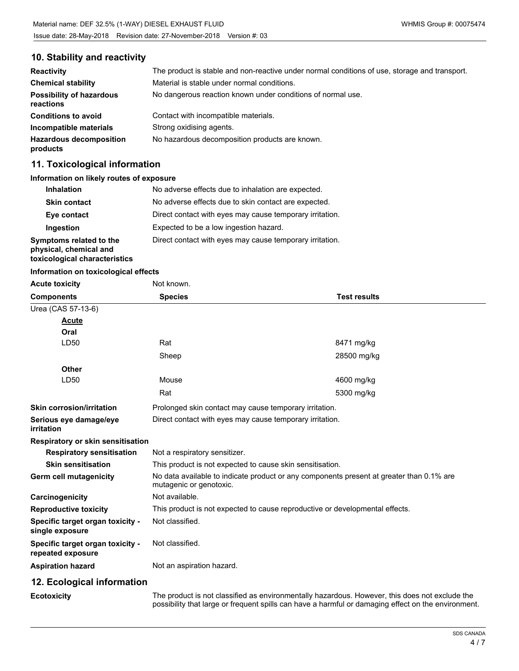# **10. Stability and reactivity**

| <b>Reactivity</b>                            | The product is stable and non-reactive under normal conditions of use, storage and transport. |
|----------------------------------------------|-----------------------------------------------------------------------------------------------|
| <b>Chemical stability</b>                    | Material is stable under normal conditions.                                                   |
| <b>Possibility of hazardous</b><br>reactions | No dangerous reaction known under conditions of normal use.                                   |
| <b>Conditions to avoid</b>                   | Contact with incompatible materials.                                                          |
| Incompatible materials                       | Strong oxidising agents.                                                                      |
| <b>Hazardous decomposition</b><br>products   | No hazardous decomposition products are known.                                                |

# **11. Toxicological information**

#### **Information on likely routes of exposure**

| <b>Inhalation</b>                                                                  | No adverse effects due to inhalation are expected.       |
|------------------------------------------------------------------------------------|----------------------------------------------------------|
| <b>Skin contact</b>                                                                | No adverse effects due to skin contact are expected.     |
| Eye contact                                                                        | Direct contact with eyes may cause temporary irritation. |
| Ingestion                                                                          | Expected to be a low ingestion hazard.                   |
| Symptoms related to the<br>physical, chemical and<br>toxicological characteristics | Direct contact with eyes may cause temporary irritation. |

#### **Information on toxicological effects**

| <b>Acute toxicity</b>                                 | Not known.                                                |                                                                                                |
|-------------------------------------------------------|-----------------------------------------------------------|------------------------------------------------------------------------------------------------|
| <b>Components</b>                                     | <b>Species</b>                                            | <b>Test results</b>                                                                            |
| Urea (CAS 57-13-6)                                    |                                                           |                                                                                                |
| Acute                                                 |                                                           |                                                                                                |
| Oral                                                  |                                                           |                                                                                                |
| LD50                                                  | Rat                                                       | 8471 mg/kg                                                                                     |
|                                                       | Sheep                                                     | 28500 mg/kg                                                                                    |
| <b>Other</b>                                          |                                                           |                                                                                                |
| LD50                                                  | Mouse                                                     | 4600 mg/kg                                                                                     |
|                                                       | Rat                                                       | 5300 mg/kg                                                                                     |
| <b>Skin corrosion/irritation</b>                      | Prolonged skin contact may cause temporary irritation.    |                                                                                                |
| Serious eye damage/eye<br>irritation                  | Direct contact with eyes may cause temporary irritation.  |                                                                                                |
| Respiratory or skin sensitisation                     |                                                           |                                                                                                |
| <b>Respiratory sensitisation</b>                      | Not a respiratory sensitizer.                             |                                                                                                |
| <b>Skin sensitisation</b>                             | This product is not expected to cause skin sensitisation. |                                                                                                |
| Germ cell mutagenicity                                | mutagenic or genotoxic.                                   | No data available to indicate product or any components present at greater than 0.1% are       |
| Carcinogenicity                                       | Not available.                                            |                                                                                                |
| <b>Reproductive toxicity</b>                          |                                                           | This product is not expected to cause reproductive or developmental effects.                   |
| Specific target organ toxicity -<br>single exposure   | Not classified.                                           |                                                                                                |
| Specific target organ toxicity -<br>repeated exposure | Not classified.                                           |                                                                                                |
| <b>Aspiration hazard</b>                              | Not an aspiration hazard.                                 |                                                                                                |
| 12. Ecological information                            |                                                           |                                                                                                |
| <b>Ecotoxicity</b>                                    |                                                           | The product is not classified as environmentally hazardous. However, this does not exclude the |

The product is not classified as environmentally hazardous. However, this does not exclude the possibility that large or frequent spills can have a harmful or damaging effect on the environment.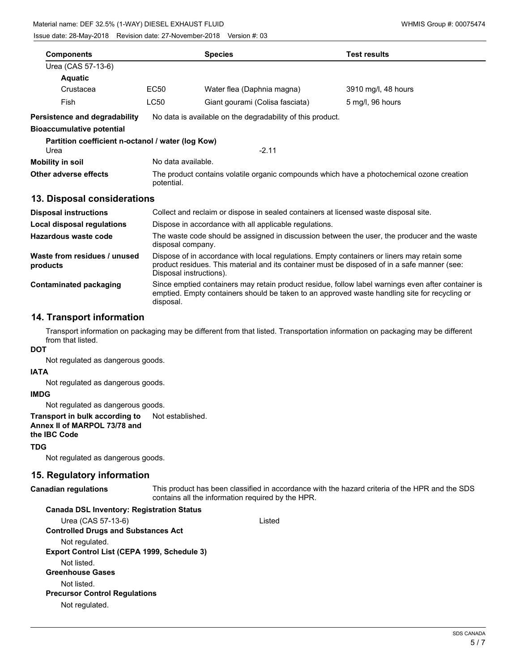| <b>Components</b>                                         |                                                                                                         | <b>Species</b>                                                                              | <b>Test results</b>                                                                          |
|-----------------------------------------------------------|---------------------------------------------------------------------------------------------------------|---------------------------------------------------------------------------------------------|----------------------------------------------------------------------------------------------|
| Urea (CAS 57-13-6)                                        |                                                                                                         |                                                                                             |                                                                                              |
| <b>Aquatic</b>                                            |                                                                                                         |                                                                                             |                                                                                              |
| Crustacea                                                 | EC50                                                                                                    | Water flea (Daphnia magna)                                                                  | 3910 mg/l, 48 hours                                                                          |
| Fish                                                      | <b>LC50</b>                                                                                             | Giant gourami (Colisa fasciata)                                                             | 5 mg/l, 96 hours                                                                             |
| <b>Persistence and degradability</b>                      |                                                                                                         | No data is available on the degradability of this product.                                  |                                                                                              |
| <b>Bioaccumulative potential</b>                          |                                                                                                         |                                                                                             |                                                                                              |
| Partition coefficient n-octanol / water (log Kow)<br>Urea |                                                                                                         | $-2.11$                                                                                     |                                                                                              |
| <b>Mobility in soil</b>                                   | No data available.                                                                                      |                                                                                             |                                                                                              |
| Other adverse effects                                     | The product contains volatile organic compounds which have a photochemical ozone creation<br>potential. |                                                                                             |                                                                                              |
| 13. Disposal considerations                               |                                                                                                         |                                                                                             |                                                                                              |
| <b>Disposal instructions</b>                              |                                                                                                         | Collect and reclaim or dispose in sealed containers at licensed waste disposal site.        |                                                                                              |
| Local disposal regulations                                |                                                                                                         | Dispose in accordance with all applicable regulations.                                      |                                                                                              |
| Hazardous waste code                                      | disposal company.                                                                                       |                                                                                             | The waste code should be assigned in discussion between the user, the producer and the waste |
| Waste from residues / unused                              |                                                                                                         | Dispose of in accordance with local regulations. Empty containers or liners may retain some |                                                                                              |

product residues. This material and its container must be disposed of in a safe manner (see: Disposal instructions). **products** Since emptied containers may retain product residue, follow label warnings even after container is emptied. Empty containers should be taken to an approved waste handling site for recycling or disposal. **Contaminated packaging**

# **14. Transport information**

Transport information on packaging may be different from that listed. Transportation information on packaging may be different from that listed.

# **DOT**

Not regulated as dangerous goods.

#### **IATA**

Not regulated as dangerous goods.

#### **IMDG**

Not regulated as dangerous goods.

#### **Transport in bulk according to** Not established. **Annex II of MARPOL 73/78 and**

**the IBC Code**

**TDG**

Not regulated as dangerous goods.

# **15. Regulatory information**

#### **Canadian regulations**

This product has been classified in accordance with the hazard criteria of the HPR and the SDS contains all the information required by the HPR.

#### **Canada DSL Inventory: Registration Status**

Urea (CAS 57-13-6) Listed **Controlled Drugs and Substances Act** Not regulated. **Export Control List (CEPA 1999, Schedule 3)** Not listed. **Greenhouse Gases** Not listed. **Precursor Control Regulations** Not regulated.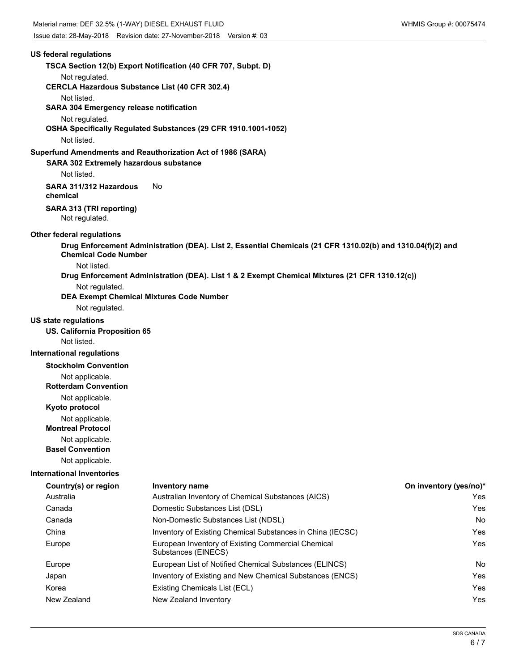# **US federal regulations TSCA Section 12(b) Export Notification (40 CFR 707, Subpt. D)** Not regulated. **CERCLA Hazardous Substance List (40 CFR 302.4)** Not listed. **SARA 304 Emergency release notification** Not regulated. **OSHA Specifically Regulated Substances (29 CFR 1910.1001-1052)** Not listed. **SARA 302 Extremely hazardous substance Superfund Amendments and Reauthorization Act of 1986 (SARA)** Not listed. **SARA 311/312 Hazardous** No **chemical SARA 313 (TRI reporting)** Not regulated. **Other federal regulations Drug Enforcement Administration (DEA). List 2, Essential Chemicals (21 CFR 1310.02(b) and 1310.04(f)(2) and Chemical Code Number** Not listed. **Drug Enforcement Administration (DEA). List 1 & 2 Exempt Chemical Mixtures (21 CFR 1310.12(c))** Not regulated. **DEA Exempt Chemical Mixtures Code Number** Not regulated. **US state regulations US. California Proposition 65** Not listed. **International regulations Stockholm Convention** Not applicable. **Rotterdam Convention** Not applicable. **Kyoto protocol** Not applicable. **Montreal Protocol** Not applicable. **Basel Convention** Not applicable. **International Inventories Country(s) or region Inventory name On inventory (yes/no)\*** Australia Australian Inventory of Chemical Substances (AICS) Yes Canada Domestic Substances List (DSL) Yes Canada Non-Domestic Substances List (NDSL) No China **Inventory of Existing Chemical Substances in China (IECSC)** Yes Europe **European Inventory of Existing Commercial Chemical Chemical Chemical Chemical Chemical Chemical Chemical Chemical Chemical Chemical Chemical Chemical Chemical Chemical Chemical Chemical Chemical Chemical Chemical C** Substances (EINECS) Europe **European List of Notified Chemical Substances (ELINCS)** No Japan **Inventory of Existing and New Chemical Substances (ENCS)** Yes Korea **Existing Chemicals List (ECL) Existing Chemicals List (ECL) The System Constant Constant Constant Constant Constant Constant Constant Constant Constant Constant Constant Constant Constant Constant Constant Const** New Zealand New Zealand Inventory **New York 1988** New Yes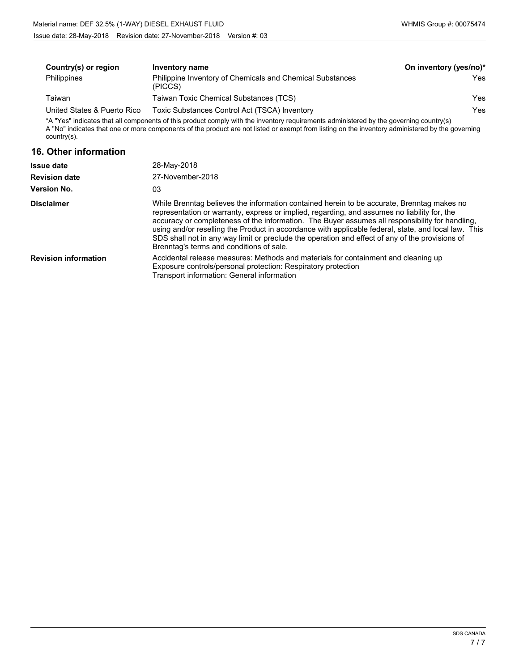| Country(s) or region        | <b>Inventory name</b>                                                                                                                                                                                                                                                                         | On inventory (yes/no)* |
|-----------------------------|-----------------------------------------------------------------------------------------------------------------------------------------------------------------------------------------------------------------------------------------------------------------------------------------------|------------------------|
| <b>Philippines</b>          | Philippine Inventory of Chemicals and Chemical Substances<br>(PICCS)                                                                                                                                                                                                                          | Yes.                   |
| Taiwan                      | Taiwan Toxic Chemical Substances (TCS)                                                                                                                                                                                                                                                        | Yes                    |
| United States & Puerto Rico | Toxic Substances Control Act (TSCA) Inventory                                                                                                                                                                                                                                                 | Yes.                   |
| $country(s)$ .              | *A "Yes" indicates that all components of this product comply with the inventory requirements administered by the governing country(s)<br>A "No" indicates that one or more components of the product are not listed or exempt from listing on the inventory administered by the governing    |                        |
| 16. Other information       |                                                                                                                                                                                                                                                                                               |                        |
| <b>Issue date</b>           | 28-May-2018                                                                                                                                                                                                                                                                                   |                        |
| <b>Revision date</b>        | 27-November-2018                                                                                                                                                                                                                                                                              |                        |
| <b>Version No.</b>          | 03                                                                                                                                                                                                                                                                                            |                        |
| <b>Disclaimer</b>           | While Brenntag believes the information contained herein to be accurate, Brenntag makes no<br>representation or warranty, express or implied, regarding, and assumes no liability for, the<br>accuracy or completeness of the information. The Buyer assumes all responsibility for handling. |                        |

using and/or reselling the Product in accordance with applicable federal, state, and local law. This SDS shall not in any way limit or preclude the operation and effect of any of the provisions of

|                             | Brenntag's terms and conditions of sale.                                                                                                                                                          |
|-----------------------------|---------------------------------------------------------------------------------------------------------------------------------------------------------------------------------------------------|
| <b>Revision information</b> | Accidental release measures: Methods and materials for containment and cleaning up<br>Exposure controls/personal protection: Respiratory protection<br>Transport information: General information |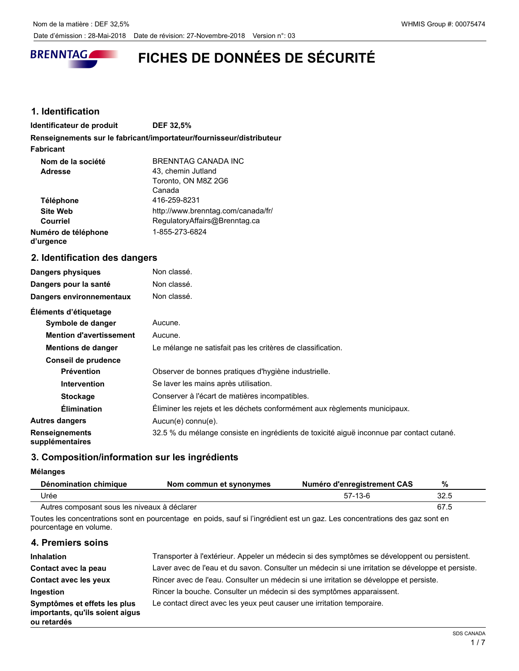

# **FICHES DE DONNÉES DE SÉCURITÉ**

# **1. Identification**

**Identificateur de produit DEF 32,5%**

**Renseignements sur le fabricant/importateur/fournisseur/distributeur**

**Fabricant**

| Nom de la société<br><b>Adresse</b> | BRENNTAG CANADA INC<br>43, chemin Jutland |
|-------------------------------------|-------------------------------------------|
|                                     | Toronto, ON M8Z 2G6                       |
|                                     | Canada                                    |
| <b>Téléphone</b>                    | 416-259-8231                              |
| <b>Site Web</b>                     | http://www.brenntag.com/canada/fr/        |
| Courriel                            | RegulatoryAffairs@Brenntag.ca             |
| Numéro de téléphone<br>d'urgence    | 1-855-273-6824                            |

# **2. Identification des dangers**

| Dangers physiques        | Non classé. |
|--------------------------|-------------|
| Dangers pour la santé    | Non classé. |
| Dangers environnementaux | Non classé. |
| Éléments d'étiquetage    |             |
| Symbole de danger        | Aucune.     |

| Symbole de danger                        | Aucune.                                                                                  |
|------------------------------------------|------------------------------------------------------------------------------------------|
| <b>Mention d'avertissement</b>           | Aucune.                                                                                  |
| <b>Mentions de danger</b>                | Le mélange ne satisfait pas les critères de classification.                              |
| Conseil de prudence                      |                                                                                          |
| <b>Prévention</b>                        | Observer de bonnes pratiques d'hygiène industrielle.                                     |
| <b>Intervention</b>                      | Se laver les mains après utilisation.                                                    |
| <b>Stockage</b>                          | Conserver à l'écart de matières incompatibles.                                           |
| <b>Élimination</b>                       | Éliminer les rejets et les déchets conformément aux règlements municipaux.               |
| <b>Autres dangers</b>                    | Aucun(e) connu(e).                                                                       |
| <b>Renseignements</b><br>supplémentaires | 32.5 % du mélange consiste en ingrédients de toxicité aiguë inconnue par contact cutané. |

# **3. Composition/information sur les ingrédients**

#### **Mélanges**

| Dénomination chimique                        | Nom commun et synonymes | Numéro d'enregistrement CAS | %    |
|----------------------------------------------|-------------------------|-----------------------------|------|
| Urée                                         |                         | $57-13-6$                   | 32.5 |
| Autres composant sous les niveaux à déclarer |                         |                             |      |

Toutes les concentrations sont en pourcentage en poids, sauf si l'ingrédient est un gaz. Les concentrations des gaz sont en pourcentage en volume.

# **4. Premiers soins**

| <b>Inhalation</b>                                                              | Transporter à l'extérieur. Appeler un médecin si des symptômes se développent ou persistent.      |
|--------------------------------------------------------------------------------|---------------------------------------------------------------------------------------------------|
| Contact avec la peau                                                           | Laver avec de l'eau et du savon. Consulter un médecin si une irritation se développe et persiste. |
| <b>Contact avec les yeux</b>                                                   | Rincer avec de l'eau. Consulter un médecin si une irritation se développe et persiste.            |
| Ingestion                                                                      | Rincer la bouche. Consulter un médecin si des symptômes apparaissent.                             |
| Symptômes et effets les plus<br>importants, qu'ils soient aigus<br>ou retardés | Le contact direct avec les yeux peut causer une irritation temporaire.                            |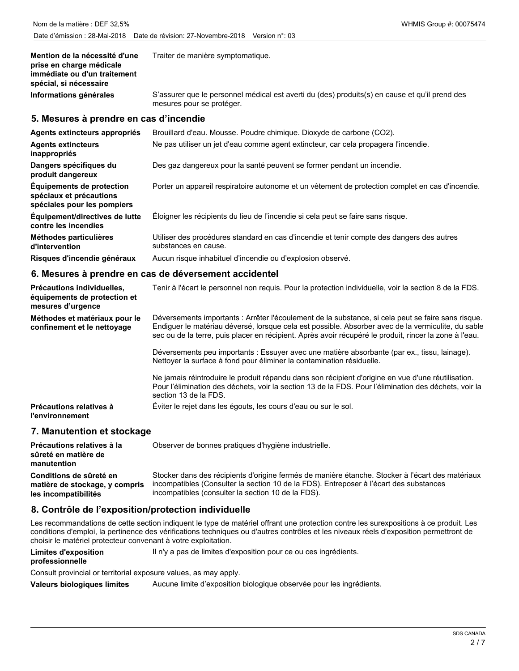| Mention de la nécessité d'une<br>prise en charge médicale<br>immédiate ou d'un traitement<br>spécial, si nécessaire | Traiter de manière symptomatique.                                                                                           |
|---------------------------------------------------------------------------------------------------------------------|-----------------------------------------------------------------------------------------------------------------------------|
| Informations générales                                                                                              | S'assurer que le personnel médical est averti du (des) produits(s) en cause et qu'il prend des<br>mesures pour se protéger. |
| 5 Mesures à prendre en cas d'incendie                                                                               |                                                                                                                             |

#### **5. Mesures à prendre en cas d'incendie**

| Agents extincteurs appropriés                                                       | Brouillard d'eau. Mousse. Poudre chimique. Dioxyde de carbone (CO2).                                              |
|-------------------------------------------------------------------------------------|-------------------------------------------------------------------------------------------------------------------|
| <b>Agents extincteurs</b><br>inappropriés                                           | Ne pas utiliser un jet d'eau comme agent extincteur, car cela propagera l'incendie.                               |
| Dangers spécifiques du<br>produit dangereux                                         | Des gaz dangereux pour la santé peuvent se former pendant un incendie.                                            |
| Équipements de protection<br>spéciaux et précautions<br>spéciales pour les pompiers | Porter un appareil respiratoire autonome et un vêtement de protection complet en cas d'incendie.                  |
| Équipement/directives de lutte<br>contre les incendies                              | Eloigner les récipients du lieu de l'incendie si cela peut se faire sans risque.                                  |
| Méthodes particulières<br>d'intervention                                            | Utiliser des procédures standard en cas d'incendie et tenir compte des dangers des autres<br>substances en cause. |
| Risques d'incendie généraux                                                         | Aucun risque inhabituel d'incendie ou d'explosion observé.                                                        |

#### **6. Mesures à prendre en cas de déversement accidentel**

| Précautions individuelles,<br>équipements de protection et<br>mesures d'urgence | Tenir à l'écart le personnel non requis. Pour la protection individuelle, voir la section 8 de la FDS.                                                                                                                                                                                                                                                                                                                                                                                                                                                                                                                                                                                                     |
|---------------------------------------------------------------------------------|------------------------------------------------------------------------------------------------------------------------------------------------------------------------------------------------------------------------------------------------------------------------------------------------------------------------------------------------------------------------------------------------------------------------------------------------------------------------------------------------------------------------------------------------------------------------------------------------------------------------------------------------------------------------------------------------------------|
| Méthodes et matériaux pour le<br>confinement et le nettoyage                    | Déversements importants : Arrêter l'écoulement de la substance, si cela peut se faire sans risque.<br>Endiquer le matériau déversé, lorsque cela est possible. Absorber avec de la vermiculite, du sable<br>sec ou de la terre, puis placer en récipient. Après avoir récupéré le produit, rincer la zone à l'eau.<br>Déversements peu importants : Essuyer avec une matière absorbante (par ex., tissu, lainage).<br>Nettoyer la surface à fond pour éliminer la contamination résiduelle.<br>Ne jamais réintroduire le produit répandu dans son récipient d'origine en vue d'une réutilisation.<br>Pour l'élimination des déchets, voir la section 13 de la FDS. Pour l'élimination des déchets, voir la |
|                                                                                 | section 13 de la FDS.                                                                                                                                                                                                                                                                                                                                                                                                                                                                                                                                                                                                                                                                                      |
| <b>Précautions relatives à</b><br><b>l'environnement</b>                        | Éviter le rejet dans les égouts, les cours d'eau ou sur le sol.                                                                                                                                                                                                                                                                                                                                                                                                                                                                                                                                                                                                                                            |

#### **7. Manutention et stockage**

| Précautions relatives à la<br>sûreté en matière de<br>manutention | Observer de bonnes pratiques d'hygiène industrielle.                                             |
|-------------------------------------------------------------------|--------------------------------------------------------------------------------------------------|
| Conditions de sûreté en                                           | Stocker dans des récipients d'origine fermés de manière étanche. Stocker à l'écart des matériaux |
| matière de stockage, y compris                                    | incompatibles (Consulter la section 10 de la FDS). Entreposer à l'écart des substances           |
| les incompatibilités                                              | incompatibles (consulter la section 10 de la FDS).                                               |

# **8. Contrôle de l'exposition/protection individuelle**

Les recommandations de cette section indiquent le type de matériel offrant une protection contre les surexpositions à ce produit. Les conditions d'emploi, la pertinence des vérifications techniques ou d'autres contrôles et les niveaux réels d'exposition permettront de choisir le matériel protecteur convenant à votre exploitation.

| Limites d'exposition | Il n'y a pas de limites d'exposition pour ce ou ces ingrédients. |  |
|----------------------|------------------------------------------------------------------|--|
|                      |                                                                  |  |

#### **professionnelle**

Consult provincial or territorial exposure values, as may apply.

**Valeurs biologiques limites** Aucune limite d'exposition biologique observée pour les ingrédients.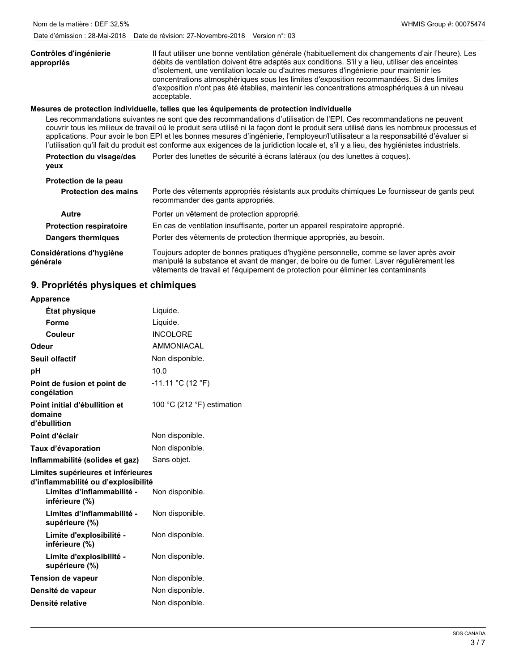#### Il faut utiliser une bonne ventilation générale (habituellement dix changements d'air l'heure). Les débits de ventilation doivent être adaptés aux conditions. S'il y a lieu, utiliser des enceintes d'isolement, une ventilation locale ou d'autres mesures d'ingénierie pour maintenir les concentrations atmosphériques sous les limites d'exposition recommandées. Si des limites d'exposition n'ont pas été établies, maintenir les concentrations atmosphériques à un niveau acceptable. **Contrôles d'ingénierie appropriés Mesures de protection individuelle, telles que les équipements de protection individuelle** Les recommandations suivantes ne sont que des recommandations d'utilisation de l'EPI. Ces recommandations ne peuvent couvrir tous les milieux de travail où le produit sera utilisé ni la façon dont le produit sera utilisé dans les nombreux processus et applications. Pour avoir le bon EPI et les bonnes mesures d'ingénierie, l'employeur/l'utilisateur a la responsabilité d'évaluer si l'utilisation qu'il fait du produit est conforme aux exigences de la juridiction locale et, s'il y a lieu, des hygiénistes industriels. **Protection du visage/des** Porter des lunettes de sécurité à écrans latéraux (ou des lunettes à coques). **yeux Protection de la peau**

| <b>Protection des mains</b>          | Porte des vêtements appropriés résistants aux produits chimiques Le fournisseur de gants peut<br>recommander des gants appropriés.                                                                                                                                     |
|--------------------------------------|------------------------------------------------------------------------------------------------------------------------------------------------------------------------------------------------------------------------------------------------------------------------|
| Autre                                | Porter un vêtement de protection approprié.                                                                                                                                                                                                                            |
| <b>Protection respiratoire</b>       | En cas de ventilation insuffisante, porter un appareil respiratoire approprié.                                                                                                                                                                                         |
| <b>Dangers thermiques</b>            | Porter des vêtements de protection thermique appropriés, au besoin.                                                                                                                                                                                                    |
| Considérations d'hygiène<br>générale | Toujours adopter de bonnes pratiques d'hygiène personnelle, comme se laver après avoir<br>manipulé la substance et avant de manger, de boire ou de fumer. Laver régulièrement les<br>vêtements de travail et l'équipement de protection pour éliminer les contaminants |

# **9. Propriétés physiques et chimiques**

| <b>Apparence</b>                                                          |                            |
|---------------------------------------------------------------------------|----------------------------|
| État physique                                                             | Liquide.                   |
| Forme                                                                     | Liquide.                   |
| Couleur                                                                   | <b>INCOLORE</b>            |
| Odeur                                                                     | <b>AMMONIACAL</b>          |
| Seuil olfactif                                                            | Non disponible.            |
| рH                                                                        | 10.0                       |
| Point de fusion et point de<br>congélation                                | $-11.11 °C (12 °F)$        |
| Point initial d'ébullition et<br>domaine<br>d'ébullition                  | 100 °C (212 °F) estimation |
| Point d'éclair                                                            | Non disponible.            |
| Taux d'évaporation                                                        | Non disponible.            |
| Inflammabilité (solides et gaz)                                           | Sans objet.                |
| Limites supérieures et inférieures<br>d'inflammabilité ou d'explosibilité |                            |
| Limites d'inflammabilité -<br>inférieure (%)                              | Non disponible.            |
| Limites d'inflammabilité -<br>supérieure (%)                              | Non disponible.            |
| Limite d'explosibilité -<br>inférieure (%)                                | Non disponible.            |
| Limite d'explosibilité -<br>supérieure (%)                                | Non disponible.            |
| <b>Tension de vapeur</b>                                                  | Non disponible.            |
| Densité de vapeur                                                         | Non disponible.            |
| Densité relative                                                          | Non disponible.            |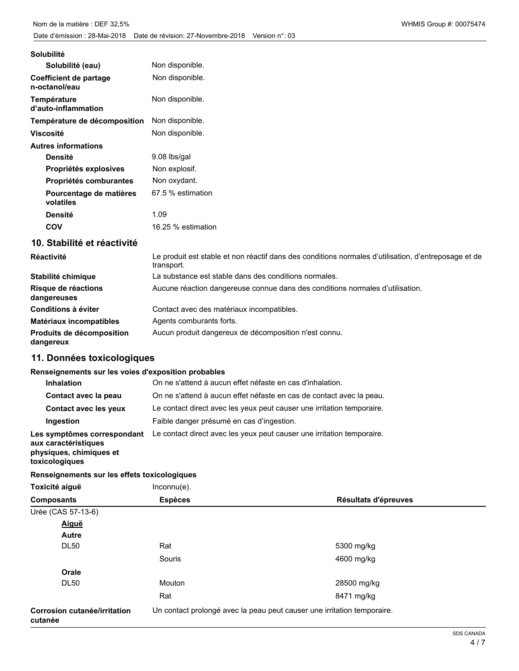| <b>Solubilité</b>                       |                    |
|-----------------------------------------|--------------------|
| Solubilité (eau)                        | Non disponible.    |
| Coefficient de partage<br>n-octanol/eau | Non disponible.    |
| Température<br>d'auto-inflammation      | Non disponible.    |
| Température de décomposition            | Non disponible.    |
| <b>Viscosité</b>                        | Non disponible.    |
| <b>Autres informations</b>              |                    |
| <b>Densité</b>                          | 9.08 lbs/gal       |
| Propriétés explosives                   | Non explosif.      |
| Propriétés comburantes                  | Non oxydant.       |
| Pourcentage de matières<br>volatiles    | 67.5 % estimation  |
| <b>Densité</b>                          | 1.09               |
| <b>COV</b>                              | 16.25 % estimation |
| 10. Stabilité et réactivité             |                    |

| <b>Réactivité</b>                      | Le produit est stable et non réactif dans des conditions normales d'utilisation, d'entreposage et de<br>transport. |
|----------------------------------------|--------------------------------------------------------------------------------------------------------------------|
| Stabilité chimique                     | La substance est stable dans des conditions normales.                                                              |
| Risque de réactions<br>dangereuses     | Aucune réaction dangereuse connue dans des conditions normales d'utilisation.                                      |
| Conditions à éviter                    | Contact avec des matériaux incompatibles.                                                                          |
| Matériaux incompatibles                | Agents comburants forts.                                                                                           |
| Produits de décomposition<br>dangereux | Aucun produit dangereux de décomposition n'est connu.                                                              |

# **11. Données toxicologiques**

### **Renseignements sur les voies d'exposition probables**

| <b>Inhalation</b>                                                                                | On ne s'attend à aucun effet néfaste en cas d'inhalation.              |
|--------------------------------------------------------------------------------------------------|------------------------------------------------------------------------|
| Contact avec la peau                                                                             | On ne s'attend à aucun effet néfaste en cas de contact avec la peau.   |
| <b>Contact avec les yeux</b>                                                                     | Le contact direct avec les yeux peut causer une irritation temporaire. |
| Ingestion                                                                                        | Faible danger présumé en cas d'ingestion.                              |
| Les symptômes correspondant<br>aux caractéristiques<br>physiques, chimiques et<br>toxicologiques | Le contact direct avec les yeux peut causer une irritation temporaire. |

# **Renseignements sur les effets toxicologiques**

| Renseignements sur les effets toxicologiques |                |                                                                         |
|----------------------------------------------|----------------|-------------------------------------------------------------------------|
| Toxicité aiguë                               | $Inconnu(e)$ . |                                                                         |
| <b>Composants</b>                            | <b>Espèces</b> | Résultats d'épreuves                                                    |
| Urée (CAS 57-13-6)                           |                |                                                                         |
| Aiguë                                        |                |                                                                         |
| Autre                                        |                |                                                                         |
| <b>DL50</b>                                  | Rat            | 5300 mg/kg                                                              |
|                                              | Souris         | 4600 mg/kg                                                              |
| Orale                                        |                |                                                                         |
| <b>DL50</b>                                  | Mouton         | 28500 mg/kg                                                             |
|                                              | Rat            | 8471 mg/kg                                                              |
| Corrosion cutanée/irritation<br>cutanée      |                | Un contact prolongé avec la peau peut causer une irritation temporaire. |
|                                              |                |                                                                         |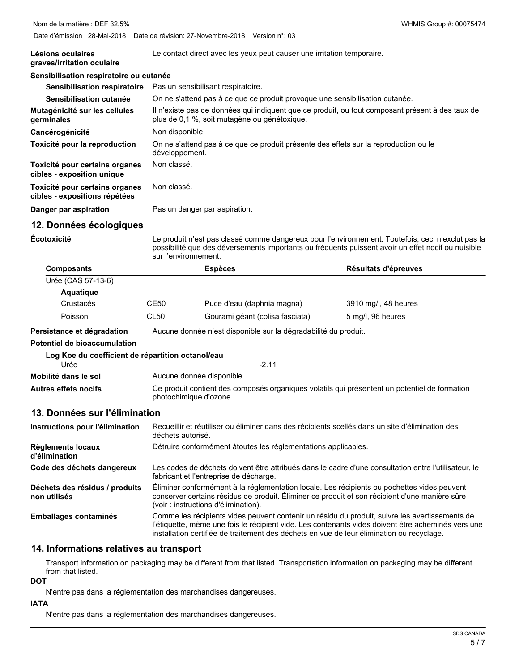| Lésions oculaires<br>graves/irritation oculaire                 |             | Le contact direct avec les yeux peut causer une irritation temporaire.                                                                                                                                                          |                      |  |
|-----------------------------------------------------------------|-------------|---------------------------------------------------------------------------------------------------------------------------------------------------------------------------------------------------------------------------------|----------------------|--|
| Sensibilisation respiratoire ou cutanée                         |             |                                                                                                                                                                                                                                 |                      |  |
| <b>Sensibilisation respiratoire</b>                             |             | Pas un sensibilisant respiratoire.                                                                                                                                                                                              |                      |  |
| Sensibilisation cutanée                                         |             | On ne s'attend pas à ce que ce produit provoque une sensibilisation cutanée.                                                                                                                                                    |                      |  |
| Mutagénicité sur les cellules<br>germinales                     |             | Il n'existe pas de données qui indiquent que ce produit, ou tout composant présent à des taux de<br>plus de 0,1 %, soit mutagène ou génétoxique.                                                                                |                      |  |
| Cancérogénicité                                                 |             | Non disponible.                                                                                                                                                                                                                 |                      |  |
| Toxicité pour la reproduction                                   |             | On ne s'attend pas à ce que ce produit présente des effets sur la reproduction ou le<br>développement.                                                                                                                          |                      |  |
| Toxicité pour certains organes<br>cibles - exposition unique    | Non classé. |                                                                                                                                                                                                                                 |                      |  |
| Toxicité pour certains organes<br>cibles - expositions répétées | Non classé. |                                                                                                                                                                                                                                 |                      |  |
| Danger par aspiration                                           |             | Pas un danger par aspiration.                                                                                                                                                                                                   |                      |  |
| 12. Données écologiques                                         |             |                                                                                                                                                                                                                                 |                      |  |
| Écotoxicité                                                     |             | Le produit n'est pas classé comme dangereux pour l'environnement. Toutefois, ceci n'exclut pas la<br>possibilité que des déversements importants ou fréquents puissent avoir un effet nocif ou nuisible<br>sur l'environnement. |                      |  |
| <b>Composants</b>                                               |             | <b>Espèces</b>                                                                                                                                                                                                                  | Résultats d'épreuves |  |
| Urée (CAS 57-13-6)                                              |             |                                                                                                                                                                                                                                 |                      |  |
| <b>Aquatique</b>                                                |             |                                                                                                                                                                                                                                 |                      |  |
| Crustacés                                                       | <b>CE50</b> | Puce d'eau (daphnia magna)                                                                                                                                                                                                      | 3910 mg/l, 48 heures |  |
| Poisson                                                         | <b>CL50</b> | Gourami géant (colisa fasciata)                                                                                                                                                                                                 | 5 mg/l, 96 heures    |  |
| Persistance et dégradation                                      |             | Aucune donnée n'est disponible sur la dégradabilité du produit.                                                                                                                                                                 |                      |  |
| Potentiel de bioaccumulation                                    |             |                                                                                                                                                                                                                                 |                      |  |
| Log Koe du coefficient de répartition octanol/eau               |             |                                                                                                                                                                                                                                 |                      |  |
| Urée                                                            |             | $-2.11$                                                                                                                                                                                                                         |                      |  |
| Mobilité dans le sol                                            |             | Aucune donnée disponible.                                                                                                                                                                                                       |                      |  |
| <b>Autres effets nocifs</b>                                     |             | Ce produit contient des composés organiques volatils qui présentent un potentiel de formation<br>photochimique d'ozone.                                                                                                         |                      |  |
| 13. Données sur l'élimination                                   |             |                                                                                                                                                                                                                                 |                      |  |
| Instructions pour l'élimination                                 |             | Recueillir et réutiliser ou éliminer dans des récipients scellés dans un site d'élimination des<br>déchets autorisé.                                                                                                            |                      |  |
| <b>Règlements locaux</b><br>d'élimination                       |             | Détruire conformément àtoutes les réglementations applicables.                                                                                                                                                                  |                      |  |
| Code des déchets dangereux                                      |             | Les codes de déchets doivent être attribués dans le cadre d'une consultation entre l'utilisateur, le<br>fabricant et l'entreprise de décharge.                                                                                  |                      |  |
| Déchets des résidus / produits                                  |             | Éliminer conformément à la réglementation locale. Les récipients ou pochettes vides peuvent                                                                                                                                     |                      |  |

conserver certains résidus de produit. Éliminer ce produit et son récipient d'une manière sûre (voir : instructions d'élimination). **non utilisés** Comme les récipients vides peuvent contenir un résidu du produit, suivre les avertissements de l'étiquette, même une fois le récipient vide. Les contenants vides doivent être acheminés vers une **Emballages contaminés**

#### **14. Informations relatives au transport**

Transport information on packaging may be different from that listed. Transportation information on packaging may be different from that listed.

installation certifiée de traitement des déchets en vue de leur élimination ou recyclage.

**DOT**

N'entre pas dans la réglementation des marchandises dangereuses.

#### **IATA**

N'entre pas dans la réglementation des marchandises dangereuses.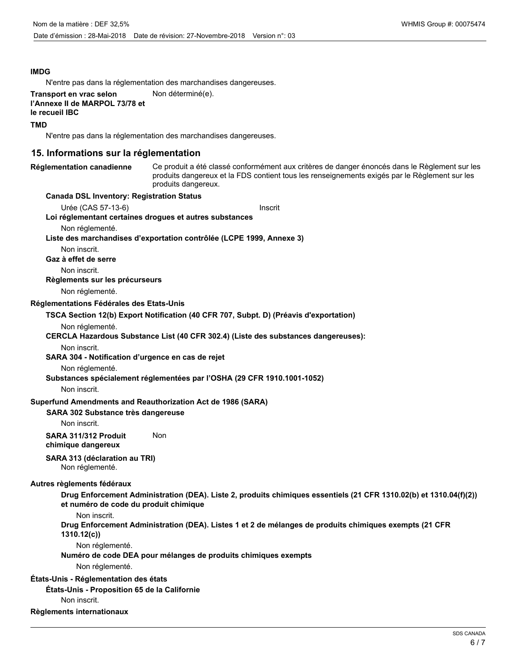#### **IMDG**

N'entre pas dans la réglementation des marchandises dangereuses.

#### **Transport en vrac selon Mon déterminé(e). l'Annexe II de MARPOL 73/78 et**

**le recueil IBC**

#### **TMD**

N'entre pas dans la réglementation des marchandises dangereuses.

#### **15. Informations sur la réglementation**

# **Réglementation canadienne**

Ce produit a été classé conformément aux critères de danger énoncés dans le Règlement sur les produits dangereux et la FDS contient tous les renseignements exigés par le Règlement sur les produits dangereux.

#### **Canada DSL Inventory: Registration Status**

Urée (CAS 57-13-6) Inscrit

**Loi réglementant certaines drogues et autres substances**

#### Non réglementé.

**Liste des marchandises d'exportation contrôlée (LCPE 1999, Annexe 3)**

Non inscrit.

**Gaz à effet de serre**

Non inscrit.

**Règlements sur les précurseurs**

Non réglementé.

**Réglementations Fédérales des Etats-Unis**

#### **TSCA Section 12(b) Export Notification (40 CFR 707, Subpt. D) (Préavis d'exportation)**

Non réglementé.

#### **CERCLA Hazardous Substance List (40 CFR 302.4) (Liste des substances dangereuses):**

Non inscrit.

**SARA 304 - Notification d'urgence en cas de rejet**

Non réglementé.

**Substances spécialement réglementées par l'OSHA (29 CFR 1910.1001-1052)**

Non inscrit.

#### **Superfund Amendments and Reauthorization Act de 1986 (SARA)**

#### **SARA 302 Substance très dangereuse**

Non inscrit.

**SARA 311/312 Produit** Non **chimique dangereux**

**SARA 313 (déclaration au TRI)**

Non réglementé.

#### **Autres règlements fédéraux**

**Drug Enforcement Administration (DEA). Liste 2, produits chimiques essentiels (21 CFR 1310.02(b) et 1310.04(f)(2)) et numéro de code du produit chimique**

Non inscrit.

**Drug Enforcement Administration (DEA). Listes 1 et 2 de mélanges de produits chimiques exempts (21 CFR 1310.12(c))**

Non réglementé.

**Numéro de code DEA pour mélanges de produits chimiques exempts**

Non réglementé.

#### **États-Unis - Réglementation des états**

**États-Unis - Proposition 65 de la Californie**

Non inscrit.

#### **Règlements internationaux**